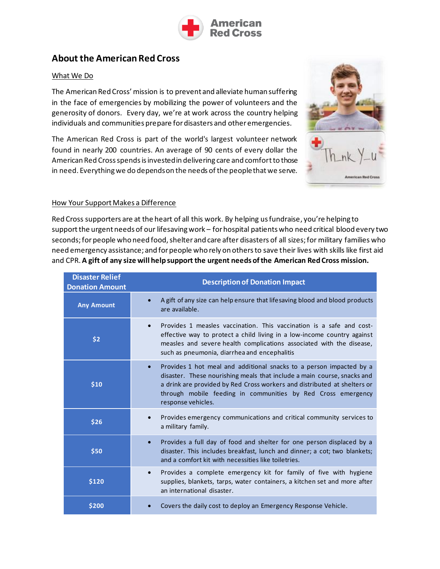

## **About the American Red Cross**

#### What We Do

The American Red Cross' mission is to prevent and alleviate human suffering in the face of emergencies by mobilizing the power of volunteers and the generosity of donors. Every day, we're at work across the country helping individuals and communities prepare for disasters and other emergencies.

The American Red Cross is part of the world's largest volunteer network found in nearly 200 countries. An average of 90 cents of every dollar the American Red Cross spends is invested in delivering care and comfort to those in need. Everything we do depends on the needs of the people that we serve.



#### How Your Support Makes a Difference

Red Cross supporters are at the heart of all this work. By helping us fundraise, you're helping to supportthe urgent needs of our lifesaving work – for hospital patients who need critical blood every two seconds; for people who need food, shelter and care after disasters of all sizes; for military families who need emergency assistance; and for people who rely on others to save their lives with skills like first aid and CPR. **A gift of any size will help support the urgent needs of the American Red Cross mission.** 

| <b>Disaster Relief</b><br><b>Donation Amount</b> | <b>Description of Donation Impact</b>                                                                                                                                                                                                                                                                                         |
|--------------------------------------------------|-------------------------------------------------------------------------------------------------------------------------------------------------------------------------------------------------------------------------------------------------------------------------------------------------------------------------------|
| <b>Any Amount</b>                                | A gift of any size can help ensure that lifesaving blood and blood products<br>$\bullet$<br>are available.                                                                                                                                                                                                                    |
| \$2                                              | Provides 1 measles vaccination. This vaccination is a safe and cost-<br>$\bullet$<br>effective way to protect a child living in a low-income country against<br>measles and severe health complications associated with the disease,<br>such as pneumonia, diarrhea and encephalitis                                          |
| \$10                                             | Provides 1 hot meal and additional snacks to a person impacted by a<br>$\bullet$<br>disaster. These nourishing meals that include a main course, snacks and<br>a drink are provided by Red Cross workers and distributed at shelters or<br>through mobile feeding in communities by Red Cross emergency<br>response vehicles. |
| \$26                                             | Provides emergency communications and critical community services to<br>$\bullet$<br>a military family.                                                                                                                                                                                                                       |
| \$50                                             | Provides a full day of food and shelter for one person displaced by a<br>$\bullet$<br>disaster. This includes breakfast, lunch and dinner; a cot; two blankets;<br>and a comfort kit with necessities like toiletries.                                                                                                        |
| \$120                                            | Provides a complete emergency kit for family of five with hygiene<br>$\bullet$<br>supplies, blankets, tarps, water containers, a kitchen set and more after<br>an international disaster.                                                                                                                                     |
| \$200                                            | Covers the daily cost to deploy an Emergency Response Vehicle.                                                                                                                                                                                                                                                                |